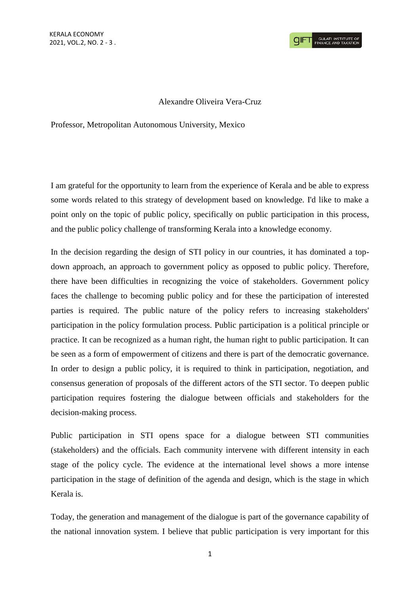

## Alexandre Oliveira Vera-Cruz

Professor, Metropolitan Autonomous University, Mexico

I am grateful for the opportunity to learn from the experience of Kerala and be able to express some words related to this strategy of development based on knowledge. I'd like to make a point only on the topic of public policy, specifically on public participation in this process, and the public policy challenge of transforming Kerala into a knowledge economy.

In the decision regarding the design of STI policy in our countries, it has dominated a topdown approach, an approach to government policy as opposed to public policy. Therefore, there have been difficulties in recognizing the voice of stakeholders. Government policy faces the challenge to becoming public policy and for these the participation of interested parties is required. The public nature of the policy refers to increasing stakeholders' participation in the policy formulation process. Public participation is a political principle or practice. It can be recognized as a human right, the human right to public participation. It can be seen as a form of empowerment of citizens and there is part of the democratic governance. In order to design a public policy, it is required to think in participation, negotiation, and consensus generation of proposals of the different actors of the STI sector. To deepen public participation requires fostering the dialogue between officials and stakeholders for the decision-making process.

Public participation in STI opens space for a dialogue between STI communities (stakeholders) and the officials. Each community intervene with different intensity in each stage of the policy cycle. The evidence at the international level shows a more intense participation in the stage of definition of the agenda and design, which is the stage in which Kerala is.

Today, the generation and management of the dialogue is part of the governance capability of the national innovation system. I believe that public participation is very important for this